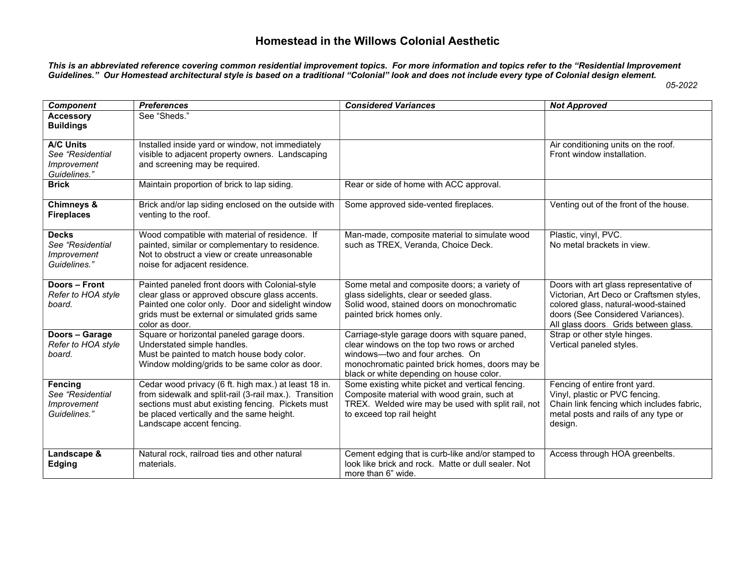## Homestead in the Willows Colonial Aesthetic

This is an abbreviated reference covering common residential improvement topics. For more information and topics refer to the "Residential Improvement Guidelines." Our Homestead architectural style is based on a traditional "Colonial" look and does not include every type of Colonial design element.

05-2022

| <b>Component</b>                                                    | <b>Preferences</b>                                                                                                                                                                                                                            | <b>Considered Variances</b>                                                                                                                                                                                                     | <b>Not Approved</b>                                                                                                                                                                                     |
|---------------------------------------------------------------------|-----------------------------------------------------------------------------------------------------------------------------------------------------------------------------------------------------------------------------------------------|---------------------------------------------------------------------------------------------------------------------------------------------------------------------------------------------------------------------------------|---------------------------------------------------------------------------------------------------------------------------------------------------------------------------------------------------------|
| <b>Accessory</b><br><b>Buildings</b>                                | See "Sheds."                                                                                                                                                                                                                                  |                                                                                                                                                                                                                                 |                                                                                                                                                                                                         |
| <b>A/C Units</b><br>See "Residential<br>Improvement<br>Guidelines." | Installed inside yard or window, not immediately<br>visible to adjacent property owners. Landscaping<br>and screening may be required.                                                                                                        |                                                                                                                                                                                                                                 | Air conditioning units on the roof.<br>Front window installation.                                                                                                                                       |
| <b>Brick</b>                                                        | Maintain proportion of brick to lap siding.                                                                                                                                                                                                   | Rear or side of home with ACC approval.                                                                                                                                                                                         |                                                                                                                                                                                                         |
| Chimneys &<br><b>Fireplaces</b>                                     | Brick and/or lap siding enclosed on the outside with<br>venting to the roof.                                                                                                                                                                  | Some approved side-vented fireplaces.                                                                                                                                                                                           | Venting out of the front of the house.                                                                                                                                                                  |
| <b>Decks</b><br>See "Residential<br>Improvement<br>Guidelines."     | Wood compatible with material of residence. If<br>painted, similar or complementary to residence.<br>Not to obstruct a view or create unreasonable<br>noise for adjacent residence.                                                           | Man-made, composite material to simulate wood<br>such as TREX, Veranda, Choice Deck.                                                                                                                                            | Plastic, vinyl, PVC.<br>No metal brackets in view.                                                                                                                                                      |
| Doors - Front<br>Refer to HOA style<br>board.                       | Painted paneled front doors with Colonial-style<br>clear glass or approved obscure glass accents.<br>Painted one color only. Door and sidelight window<br>grids must be external or simulated grids same<br>color as door.                    | Some metal and composite doors; a variety of<br>glass sidelights, clear or seeded glass.<br>Solid wood, stained doors on monochromatic<br>painted brick homes only.                                                             | Doors with art glass representative of<br>Victorian, Art Deco or Craftsmen styles,<br>colored glass, natural-wood-stained<br>doors (See Considered Variances).<br>All glass doors. Grids between glass. |
| Doors - Garage<br>Refer to HOA style<br>board.                      | Square or horizontal paneled garage doors.<br>Understated simple handles.<br>Must be painted to match house body color.<br>Window molding/grids to be same color as door.                                                                     | Carriage-style garage doors with square paned,<br>clear windows on the top two rows or arched<br>windows-two and four arches. On<br>monochromatic painted brick homes, doors may be<br>black or white depending on house color. | Strap or other style hinges.<br>Vertical paneled styles.                                                                                                                                                |
| <b>Fencing</b><br>See "Residential<br>Improvement<br>Guidelines."   | Cedar wood privacy (6 ft. high max.) at least 18 in.<br>from sidewalk and split-rail (3-rail max.). Transition<br>sections must abut existing fencing. Pickets must<br>be placed vertically and the same height.<br>Landscape accent fencing. | Some existing white picket and vertical fencing.<br>Composite material with wood grain, such at<br>TREX. Welded wire may be used with split rail, not<br>to exceed top rail height                                              | Fencing of entire front yard.<br>Vinyl, plastic or PVC fencing.<br>Chain link fencing which includes fabric,<br>metal posts and rails of any type or<br>design.                                         |
| Landscape &<br>Edging                                               | Natural rock, railroad ties and other natural<br>materials.                                                                                                                                                                                   | Cement edging that is curb-like and/or stamped to<br>look like brick and rock. Matte or dull sealer. Not<br>more than 6" wide.                                                                                                  | Access through HOA greenbelts.                                                                                                                                                                          |